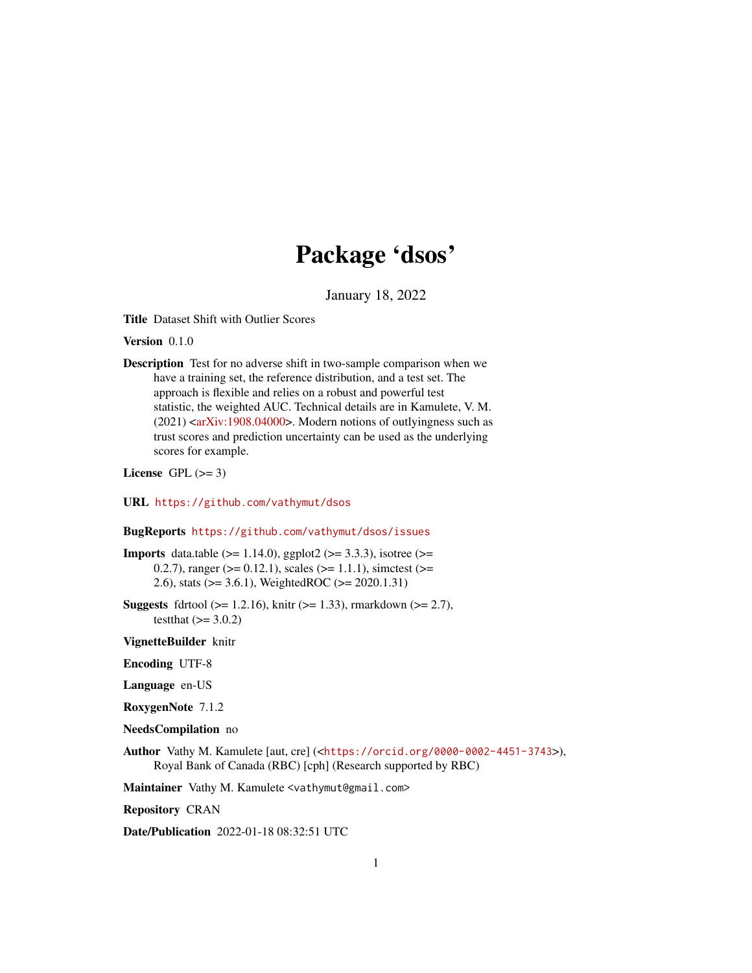## Package 'dsos'

January 18, 2022

Title Dataset Shift with Outlier Scores

Version 0.1.0

Description Test for no adverse shift in two-sample comparison when we have a training set, the reference distribution, and a test set. The approach is flexible and relies on a robust and powerful test statistic, the weighted AUC. Technical details are in Kamulete, V. M.  $(2021)$  [<arXiv:1908.04000>](https://arxiv.org/abs/1908.04000). Modern notions of outlyingness such as trust scores and prediction uncertainty can be used as the underlying scores for example.

License GPL  $(>= 3)$ 

URL <https://github.com/vathymut/dsos>

BugReports <https://github.com/vathymut/dsos/issues>

**Imports** data.table ( $>= 1.14.0$ ), ggplot2 ( $>= 3.3.3$ ), isotree ( $>=$ 0.2.7), ranger ( $>= 0.12.1$ ), scales ( $>= 1.1.1$ ), simctest ( $>= 0.12.1$ ) 2.6), stats (>= 3.6.1), WeightedROC (>= 2020.1.31)

**Suggests** fdrtool ( $>= 1.2.16$ ), knitr ( $>= 1.33$ ), rmarkdown ( $>= 2.7$ ), testthat  $(>= 3.0.2)$ 

VignetteBuilder knitr

Encoding UTF-8

Language en-US

RoxygenNote 7.1.2

- NeedsCompilation no
- Author Vathy M. Kamulete [aut, cre] (<<https://orcid.org/0000-0002-4451-3743>>), Royal Bank of Canada (RBC) [cph] (Research supported by RBC)

Maintainer Vathy M. Kamulete <vathymut@gmail.com>

Repository CRAN

Date/Publication 2022-01-18 08:32:51 UTC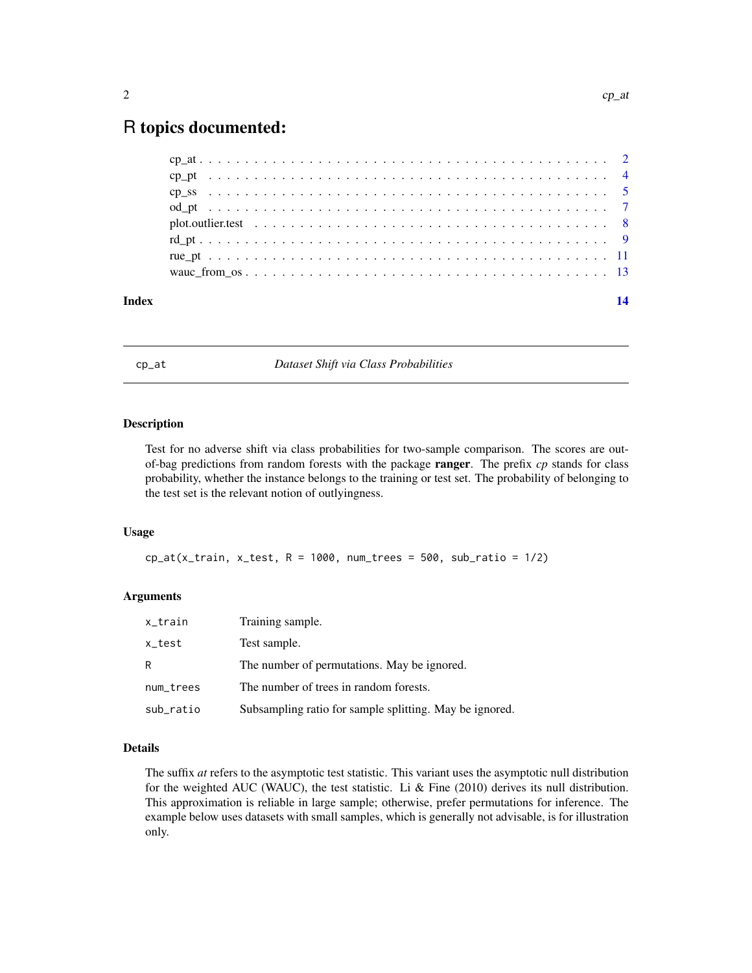## <span id="page-1-0"></span>R topics documented:

| Index | 14 |
|-------|----|
|       |    |
|       |    |
|       |    |
|       |    |
|       |    |
|       |    |
|       |    |
|       |    |

<span id="page-1-1"></span>cp\_at *Dataset Shift via Class Probabilities*

#### **Description**

Test for no adverse shift via class probabilities for two-sample comparison. The scores are outof-bag predictions from random forests with the package ranger. The prefix *cp* stands for class probability, whether the instance belongs to the training or test set. The probability of belonging to the test set is the relevant notion of outlyingness.

#### Usage

 $cp_at(x_train, x_test, R = 1000, num_trees = 500, sub_rate = 1/2)$ 

#### Arguments

| x_train   | Training sample.                                        |
|-----------|---------------------------------------------------------|
| x_test    | Test sample.                                            |
| R         | The number of permutations. May be ignored.             |
| num_trees | The number of trees in random forests.                  |
| sub_ratio | Subsampling ratio for sample splitting. May be ignored. |

#### Details

The suffix *at* refers to the asymptotic test statistic. This variant uses the asymptotic null distribution for the weighted AUC (WAUC), the test statistic. Li  $\&$  Fine (2010) derives its null distribution. This approximation is reliable in large sample; otherwise, prefer permutations for inference. The example below uses datasets with small samples, which is generally not advisable, is for illustration only.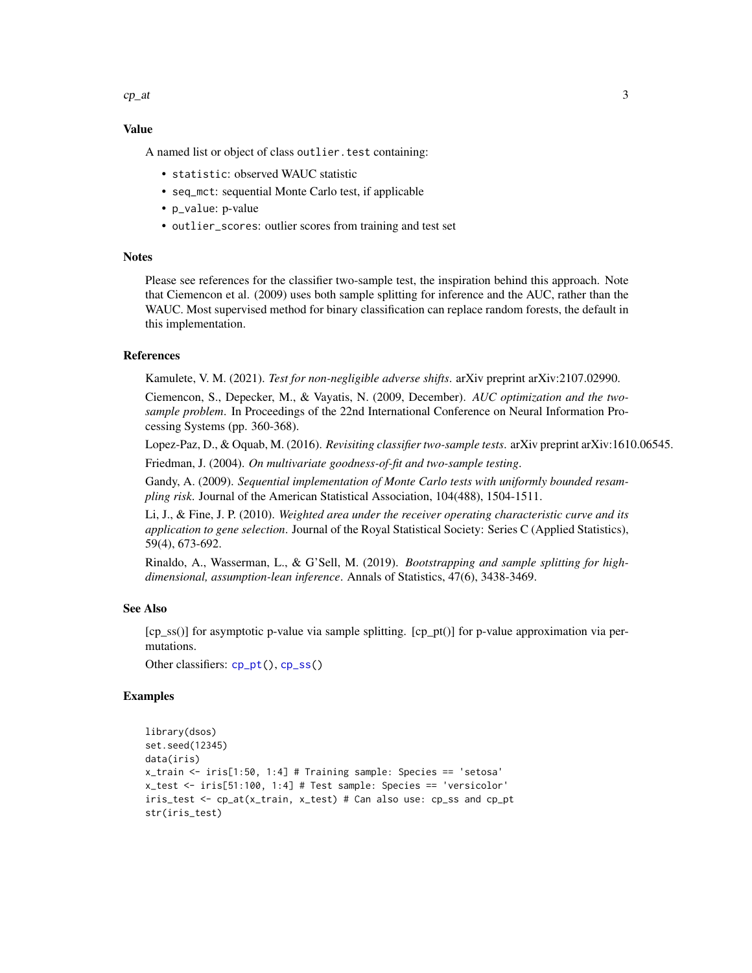<span id="page-2-0"></span> $cp\_at$  3

#### Value

A named list or object of class outlier.test containing:

- statistic: observed WAUC statistic
- seq\_mct: sequential Monte Carlo test, if applicable
- p\_value: p-value
- outlier\_scores: outlier scores from training and test set

#### **Notes**

Please see references for the classifier two-sample test, the inspiration behind this approach. Note that Ciemencon et al. (2009) uses both sample splitting for inference and the AUC, rather than the WAUC. Most supervised method for binary classification can replace random forests, the default in this implementation.

#### References

Kamulete, V. M. (2021). *Test for non-negligible adverse shifts*. arXiv preprint arXiv:2107.02990.

Ciemencon, S., Depecker, M., & Vayatis, N. (2009, December). *AUC optimization and the twosample problem*. In Proceedings of the 22nd International Conference on Neural Information Processing Systems (pp. 360-368).

Lopez-Paz, D., & Oquab, M. (2016). *Revisiting classifier two-sample tests*. arXiv preprint arXiv:1610.06545. Friedman, J. (2004). *On multivariate goodness-of-fit and two-sample testing*.

Gandy, A. (2009). *Sequential implementation of Monte Carlo tests with uniformly bounded resampling risk*. Journal of the American Statistical Association, 104(488), 1504-1511.

Li, J., & Fine, J. P. (2010). *Weighted area under the receiver operating characteristic curve and its application to gene selection*. Journal of the Royal Statistical Society: Series C (Applied Statistics), 59(4), 673-692.

Rinaldo, A., Wasserman, L., & G'Sell, M. (2019). *Bootstrapping and sample splitting for highdimensional, assumption-lean inference*. Annals of Statistics, 47(6), 3438-3469.

#### See Also

[cp\_ss()] for asymptotic p-value via sample splitting. [cp\_pt()] for p-value approximation via permutations.

Other classifiers: [cp\\_pt\(](#page-3-1)), [cp\\_ss\(](#page-4-1))

#### Examples

```
library(dsos)
set.seed(12345)
data(iris)
x_train < -iris[1:50, 1:4] # Training sample: Species == 'setosa'
x_test <- iris[51:100, 1:4] # Test sample: Species == 'versicolor'
iris_test <- cp_at(x_train, x_test) # Can also use: cp_ss and cp_pt
str(iris_test)
```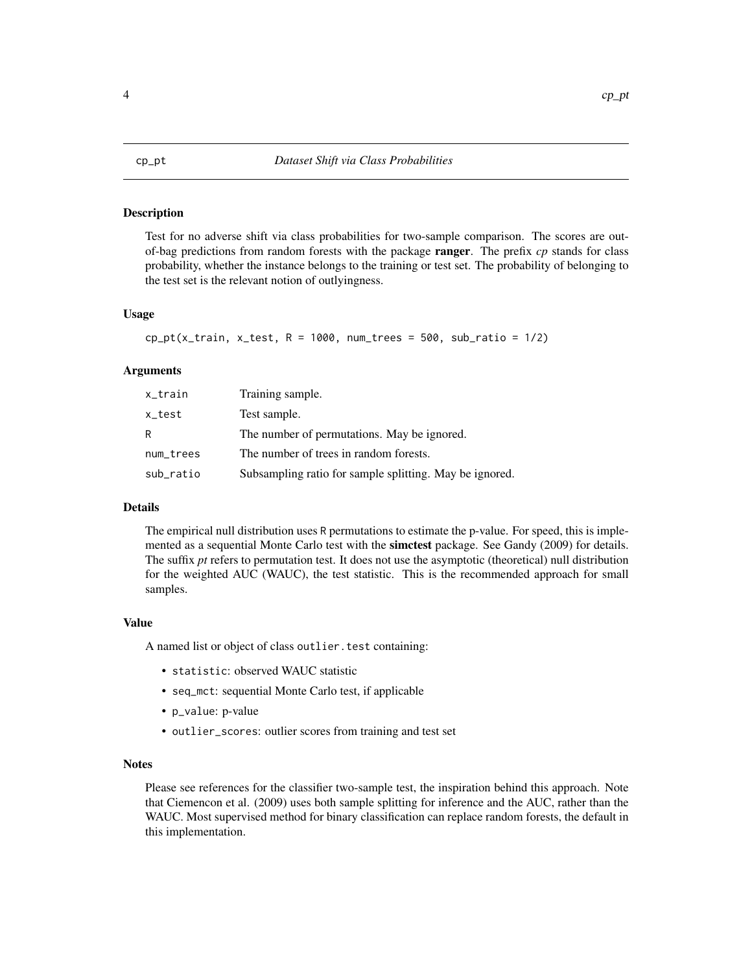#### Description

Test for no adverse shift via class probabilities for two-sample comparison. The scores are outof-bag predictions from random forests with the package ranger. The prefix *cp* stands for class probability, whether the instance belongs to the training or test set. The probability of belonging to the test set is the relevant notion of outlyingness.

#### Usage

```
cp_pt(x_train, x_test, R = 1000, num_trees = 500, sub_rate = 1/2)
```
#### Arguments

| x_train   | Training sample.                                        |
|-----------|---------------------------------------------------------|
| x_test    | Test sample.                                            |
| R         | The number of permutations. May be ignored.             |
| num_trees | The number of trees in random forests.                  |
| sub_ratio | Subsampling ratio for sample splitting. May be ignored. |

#### Details

The empirical null distribution uses R permutations to estimate the p-value. For speed, this is implemented as a sequential Monte Carlo test with the **simctest** package. See Gandy (2009) for details. The suffix *pt* refers to permutation test. It does not use the asymptotic (theoretical) null distribution for the weighted AUC (WAUC), the test statistic. This is the recommended approach for small samples.

#### Value

A named list or object of class outlier. test containing:

- statistic: observed WAUC statistic
- seq\_mct: sequential Monte Carlo test, if applicable
- p\_value: p-value
- outlier\_scores: outlier scores from training and test set

#### Notes

Please see references for the classifier two-sample test, the inspiration behind this approach. Note that Ciemencon et al. (2009) uses both sample splitting for inference and the AUC, rather than the WAUC. Most supervised method for binary classification can replace random forests, the default in this implementation.

#### <span id="page-3-1"></span><span id="page-3-0"></span>4 cp\_pt cp\_pt cp\_pt cp\_pt cp\_pt cp\_pt cp\_pt cp\_pt cp\_pt cp\_pt cp\_pt cp\_pt cp\_pt cp\_pt cp\_pt cp\_pt cp\_pt cp\_pt c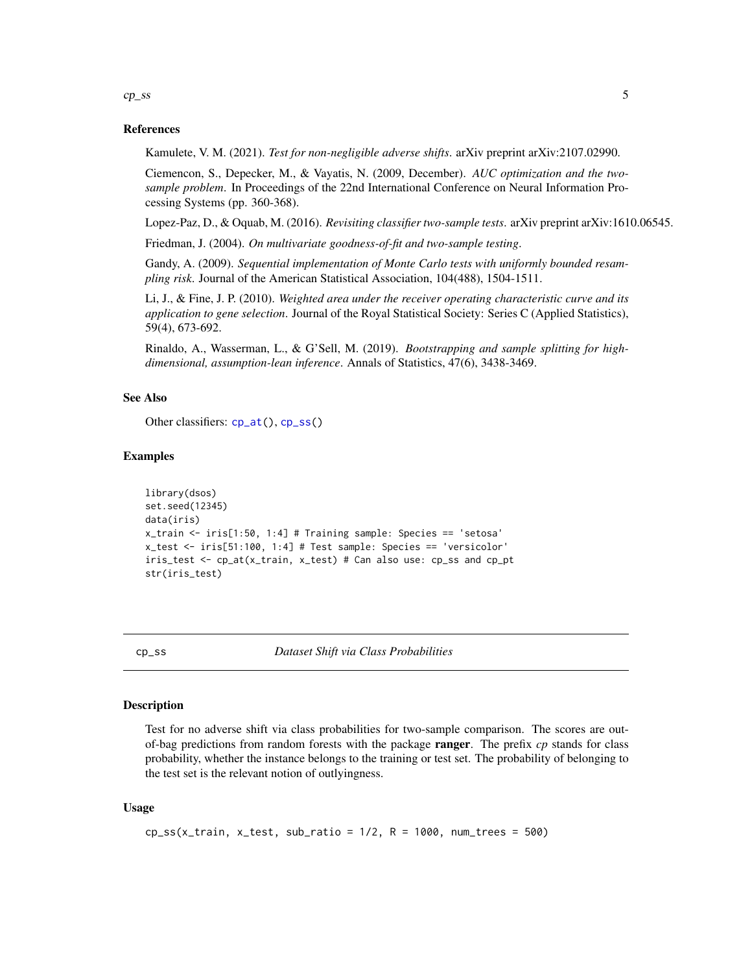<span id="page-4-0"></span> $cp\_ss$  5

#### References

Kamulete, V. M. (2021). *Test for non-negligible adverse shifts*. arXiv preprint arXiv:2107.02990.

Ciemencon, S., Depecker, M., & Vayatis, N. (2009, December). *AUC optimization and the twosample problem*. In Proceedings of the 22nd International Conference on Neural Information Processing Systems (pp. 360-368).

Lopez-Paz, D., & Oquab, M. (2016). *Revisiting classifier two-sample tests*. arXiv preprint arXiv:1610.06545.

Friedman, J. (2004). *On multivariate goodness-of-fit and two-sample testing*.

Gandy, A. (2009). *Sequential implementation of Monte Carlo tests with uniformly bounded resampling risk*. Journal of the American Statistical Association, 104(488), 1504-1511.

Li, J., & Fine, J. P. (2010). *Weighted area under the receiver operating characteristic curve and its application to gene selection*. Journal of the Royal Statistical Society: Series C (Applied Statistics), 59(4), 673-692.

Rinaldo, A., Wasserman, L., & G'Sell, M. (2019). *Bootstrapping and sample splitting for highdimensional, assumption-lean inference*. Annals of Statistics, 47(6), 3438-3469.

#### See Also

Other classifiers: [cp\\_at\(](#page-1-1)), [cp\\_ss\(](#page-4-1))

#### Examples

```
library(dsos)
set.seed(12345)
data(iris)
x_train <- iris[1:50, 1:4] # Training sample: Species == 'setosa'
x_test <- iris[51:100, 1:4] # Test sample: Species == 'versicolor'
iris_test <- cp_at(x_train, x_test) # Can also use: cp_ss and cp_pt
str(iris_test)
```
<span id="page-4-1"></span>

cp\_ss *Dataset Shift via Class Probabilities*

#### **Description**

Test for no adverse shift via class probabilities for two-sample comparison. The scores are outof-bag predictions from random forests with the package ranger. The prefix *cp* stands for class probability, whether the instance belongs to the training or test set. The probability of belonging to the test set is the relevant notion of outlyingness.

#### Usage

```
cp\_ss(x_train, x_test, sub_rate = 1/2, R = 1000, num_trees = 500)
```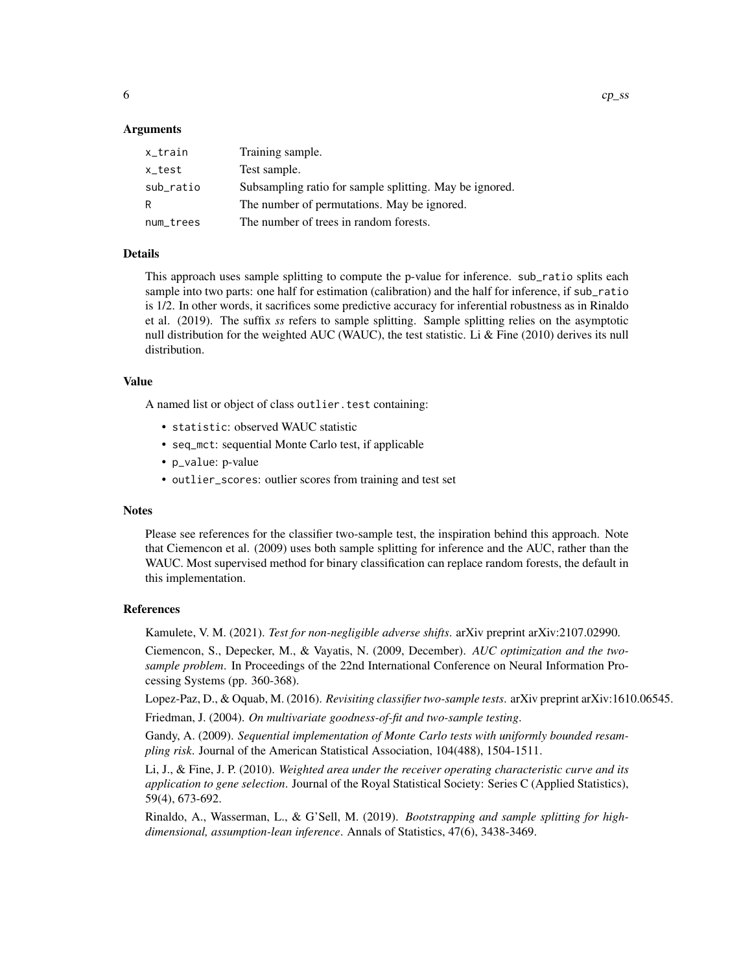#### Arguments

| x_train   | Training sample.                                        |
|-----------|---------------------------------------------------------|
| x_test    | Test sample.                                            |
| sub_ratio | Subsampling ratio for sample splitting. May be ignored. |
| R         | The number of permutations. May be ignored.             |
| num_trees | The number of trees in random forests.                  |

#### Details

This approach uses sample splitting to compute the p-value for inference. sub\_ratio splits each sample into two parts: one half for estimation (calibration) and the half for inference, if sub\_ratio is 1/2. In other words, it sacrifices some predictive accuracy for inferential robustness as in Rinaldo et al. (2019). The suffix *ss* refers to sample splitting. Sample splitting relies on the asymptotic null distribution for the weighted AUC (WAUC), the test statistic. Li & Fine (2010) derives its null distribution.

#### Value

A named list or object of class outlier.test containing:

- statistic: observed WAUC statistic
- seq\_mct: sequential Monte Carlo test, if applicable
- p\_value: p-value
- outlier\_scores: outlier scores from training and test set

#### **Notes**

Please see references for the classifier two-sample test, the inspiration behind this approach. Note that Ciemencon et al. (2009) uses both sample splitting for inference and the AUC, rather than the WAUC. Most supervised method for binary classification can replace random forests, the default in this implementation.

#### References

Kamulete, V. M. (2021). *Test for non-negligible adverse shifts*. arXiv preprint arXiv:2107.02990.

Ciemencon, S., Depecker, M., & Vayatis, N. (2009, December). *AUC optimization and the twosample problem*. In Proceedings of the 22nd International Conference on Neural Information Processing Systems (pp. 360-368).

Lopez-Paz, D., & Oquab, M. (2016). *Revisiting classifier two-sample tests*. arXiv preprint arXiv:1610.06545.

Friedman, J. (2004). *On multivariate goodness-of-fit and two-sample testing*.

Gandy, A. (2009). *Sequential implementation of Monte Carlo tests with uniformly bounded resampling risk*. Journal of the American Statistical Association, 104(488), 1504-1511.

Li, J., & Fine, J. P. (2010). *Weighted area under the receiver operating characteristic curve and its application to gene selection*. Journal of the Royal Statistical Society: Series C (Applied Statistics), 59(4), 673-692.

Rinaldo, A., Wasserman, L., & G'Sell, M. (2019). *Bootstrapping and sample splitting for highdimensional, assumption-lean inference*. Annals of Statistics, 47(6), 3438-3469.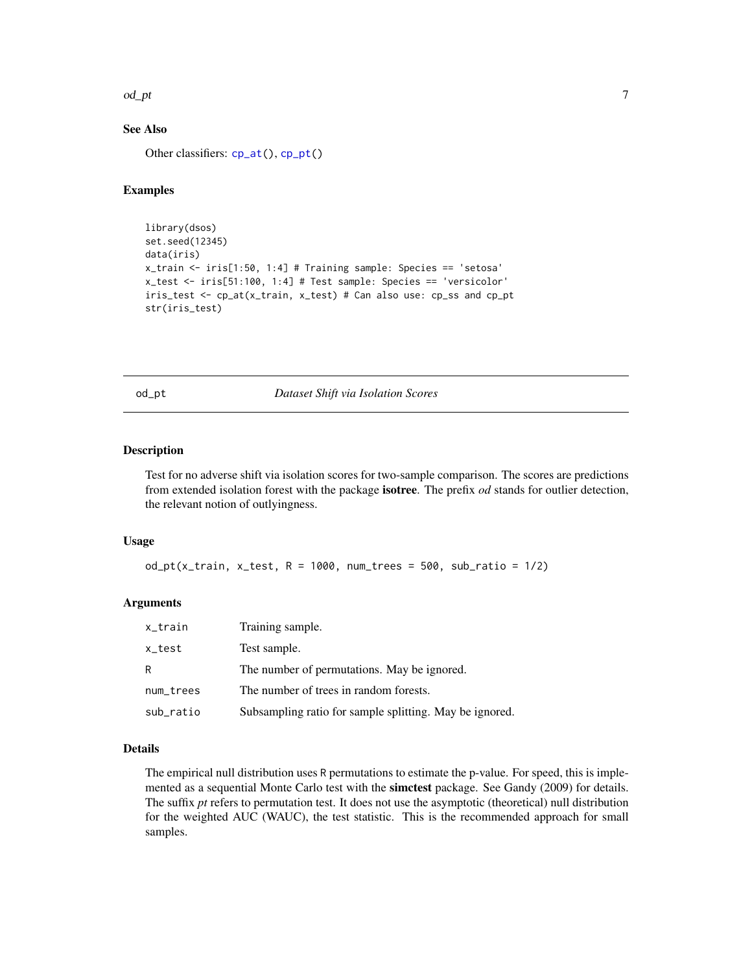#### <span id="page-6-0"></span>od\_pt 7

#### See Also

Other classifiers: [cp\\_at\(](#page-1-1)), [cp\\_pt\(](#page-3-1))

#### Examples

```
library(dsos)
set.seed(12345)
data(iris)
x_train <- iris[1:50, 1:4] # Training sample: Species == 'setosa'
x_test <- iris[51:100, 1:4] # Test sample: Species == 'versicolor'
iris_test <- cp_at(x_train, x_test) # Can also use: cp_ss and cp_pt
str(iris_test)
```
#### od\_pt *Dataset Shift via Isolation Scores*

#### Description

Test for no adverse shift via isolation scores for two-sample comparison. The scores are predictions from extended isolation forest with the package isotree. The prefix *od* stands for outlier detection, the relevant notion of outlyingness.

#### Usage

 $od_p t(x_train, x_test, R = 1000, num_trees = 500, sub_ratio =  $1/2$ )$ 

#### Arguments

| x_train   | Training sample.                                        |
|-----------|---------------------------------------------------------|
| x_test    | Test sample.                                            |
| R         | The number of permutations. May be ignored.             |
| num_trees | The number of trees in random forests.                  |
| sub_ratio | Subsampling ratio for sample splitting. May be ignored. |

#### Details

The empirical null distribution uses R permutations to estimate the p-value. For speed, this is implemented as a sequential Monte Carlo test with the **simctest** package. See Gandy (2009) for details. The suffix *pt* refers to permutation test. It does not use the asymptotic (theoretical) null distribution for the weighted AUC (WAUC), the test statistic. This is the recommended approach for small samples.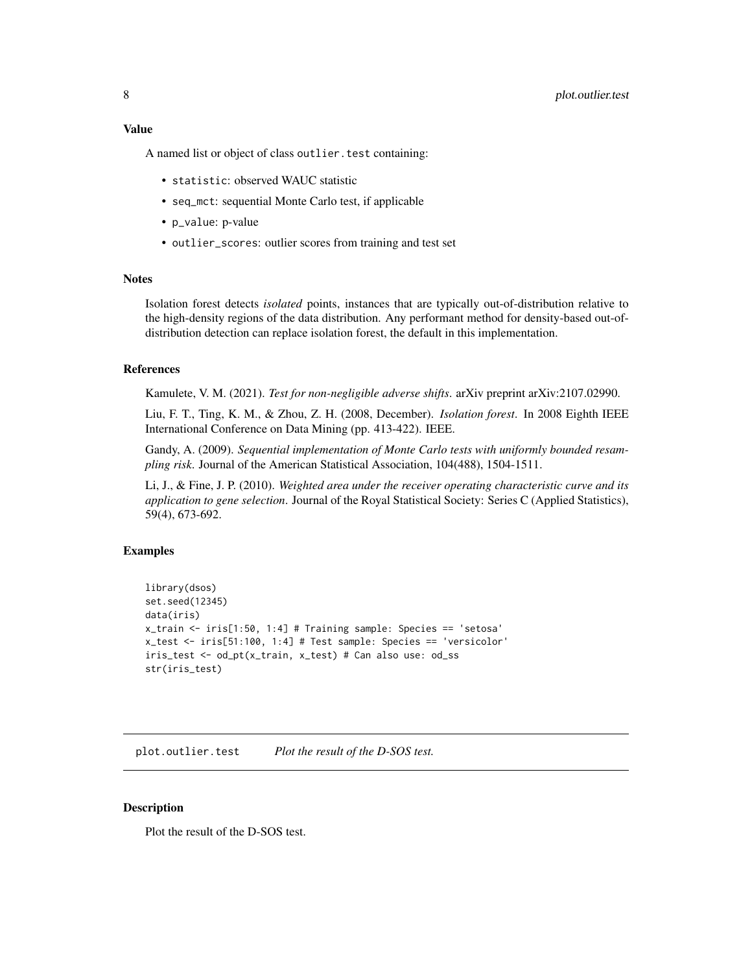#### <span id="page-7-0"></span>8 plot.outlier.test

#### Value

A named list or object of class outlier.test containing:

- statistic: observed WAUC statistic
- seq\_mct: sequential Monte Carlo test, if applicable
- p\_value: p-value
- outlier\_scores: outlier scores from training and test set

#### **Notes**

Isolation forest detects *isolated* points, instances that are typically out-of-distribution relative to the high-density regions of the data distribution. Any performant method for density-based out-ofdistribution detection can replace isolation forest, the default in this implementation.

#### References

Kamulete, V. M. (2021). *Test for non-negligible adverse shifts*. arXiv preprint arXiv:2107.02990.

Liu, F. T., Ting, K. M., & Zhou, Z. H. (2008, December). *Isolation forest*. In 2008 Eighth IEEE International Conference on Data Mining (pp. 413-422). IEEE.

Gandy, A. (2009). *Sequential implementation of Monte Carlo tests with uniformly bounded resampling risk*. Journal of the American Statistical Association, 104(488), 1504-1511.

Li, J., & Fine, J. P. (2010). *Weighted area under the receiver operating characteristic curve and its application to gene selection*. Journal of the Royal Statistical Society: Series C (Applied Statistics), 59(4), 673-692.

#### Examples

```
library(dsos)
set.seed(12345)
data(iris)
x_train <- iris[1:50, 1:4] # Training sample: Species == 'setosa'
x_test <- iris[51:100, 1:4] # Test sample: Species == 'versicolor'
iris_test <- od_pt(x_train, x_test) # Can also use: od_ss
str(iris_test)
```
plot.outlier.test *Plot the result of the D-SOS test.*

#### **Description**

Plot the result of the D-SOS test.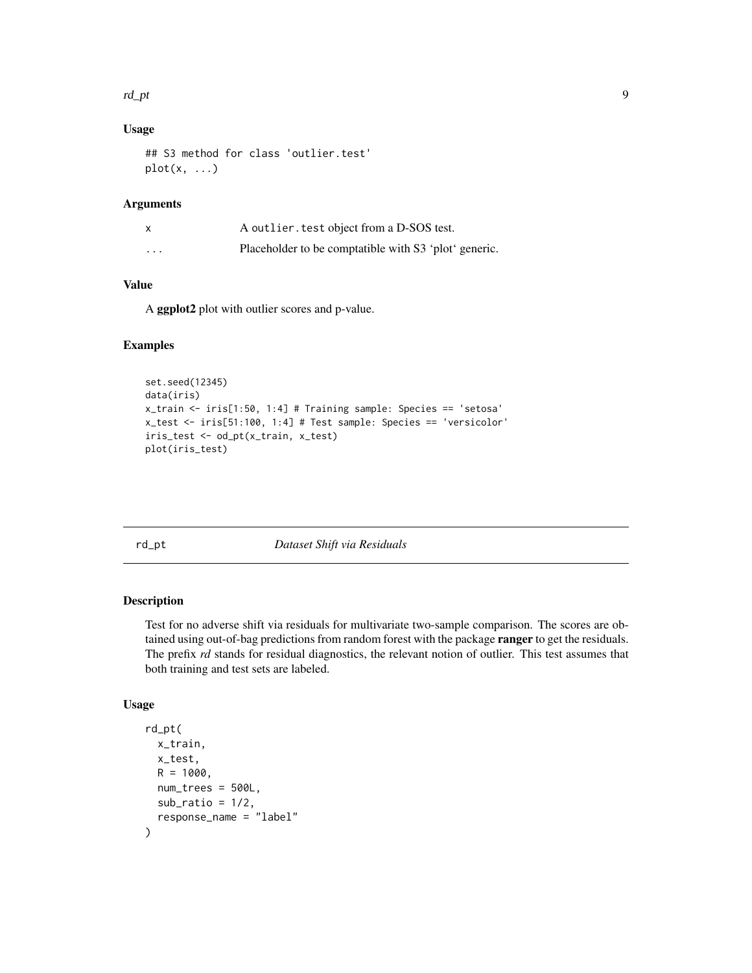#### <span id="page-8-0"></span>rd\_pt 9

#### Usage

```
## S3 method for class 'outlier.test'
plot(x, \ldots)
```
#### Arguments

| X        | A outlier test object from a D-SOS test.              |
|----------|-------------------------------------------------------|
| $\cdots$ | Placeholder to be comptatible with S3 'plot' generic. |

#### Value

A ggplot2 plot with outlier scores and p-value.

#### Examples

```
set.seed(12345)
data(iris)
x_train <- iris[1:50, 1:4] # Training sample: Species == 'setosa'
x_test <- iris[51:100, 1:4] # Test sample: Species == 'versicolor'
iris_test <- od_pt(x_train, x_test)
plot(iris_test)
```
rd\_pt *Dataset Shift via Residuals*

#### Description

Test for no adverse shift via residuals for multivariate two-sample comparison. The scores are obtained using out-of-bag predictions from random forest with the package **ranger** to get the residuals. The prefix *rd* stands for residual diagnostics, the relevant notion of outlier. This test assumes that both training and test sets are labeled.

#### Usage

```
rd_pt(
 x_train,
 x_test,
 R = 1000,
 num_trees = 500L,
 sub\_ratio = 1/2,
  response_name = "label"
)
```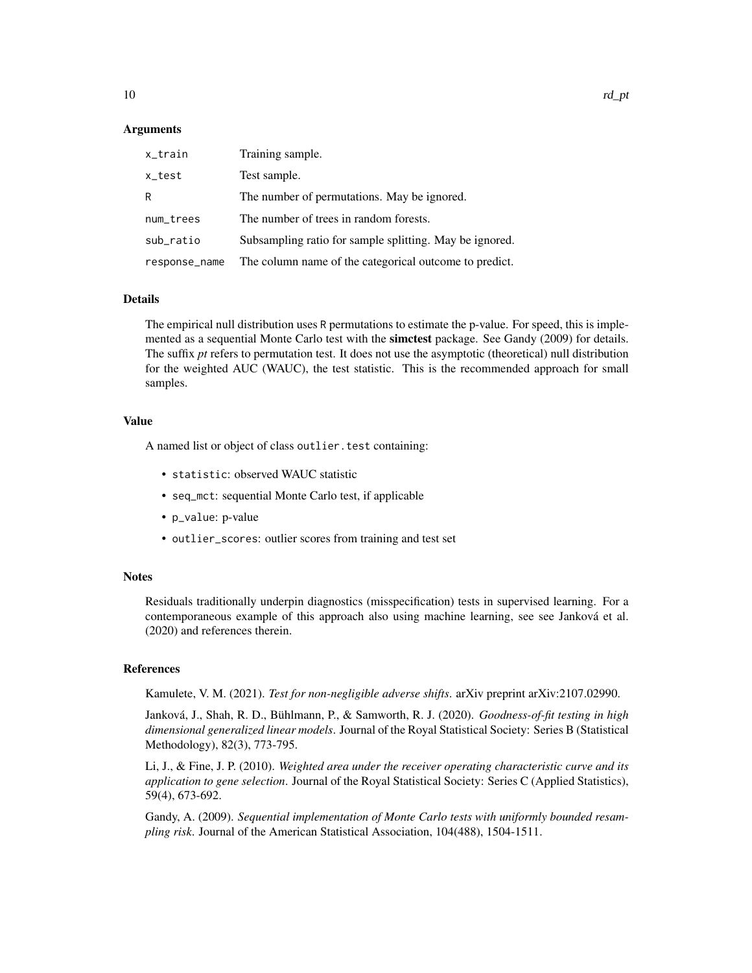#### Arguments

| x_train       | Training sample.                                        |
|---------------|---------------------------------------------------------|
| x_test        | Test sample.                                            |
| R.            | The number of permutations. May be ignored.             |
| num_trees     | The number of trees in random forests.                  |
| sub_ratio     | Subsampling ratio for sample splitting. May be ignored. |
| response_name | The column name of the categorical outcome to predict.  |

#### Details

The empirical null distribution uses R permutations to estimate the p-value. For speed, this is implemented as a sequential Monte Carlo test with the **simctest** package. See Gandy (2009) for details. The suffix *pt* refers to permutation test. It does not use the asymptotic (theoretical) null distribution for the weighted AUC (WAUC), the test statistic. This is the recommended approach for small samples.

#### Value

A named list or object of class outlier.test containing:

- statistic: observed WAUC statistic
- seq\_mct: sequential Monte Carlo test, if applicable
- p\_value: p-value
- outlier\_scores: outlier scores from training and test set

#### **Notes**

Residuals traditionally underpin diagnostics (misspecification) tests in supervised learning. For a contemporaneous example of this approach also using machine learning, see see Janková et al. (2020) and references therein.

#### References

Kamulete, V. M. (2021). *Test for non-negligible adverse shifts*. arXiv preprint arXiv:2107.02990.

Janková, J., Shah, R. D., Bühlmann, P., & Samworth, R. J. (2020). *Goodness-of-fit testing in high dimensional generalized linear models*. Journal of the Royal Statistical Society: Series B (Statistical Methodology), 82(3), 773-795.

Li, J., & Fine, J. P. (2010). *Weighted area under the receiver operating characteristic curve and its application to gene selection*. Journal of the Royal Statistical Society: Series C (Applied Statistics), 59(4), 673-692.

Gandy, A. (2009). *Sequential implementation of Monte Carlo tests with uniformly bounded resampling risk*. Journal of the American Statistical Association, 104(488), 1504-1511.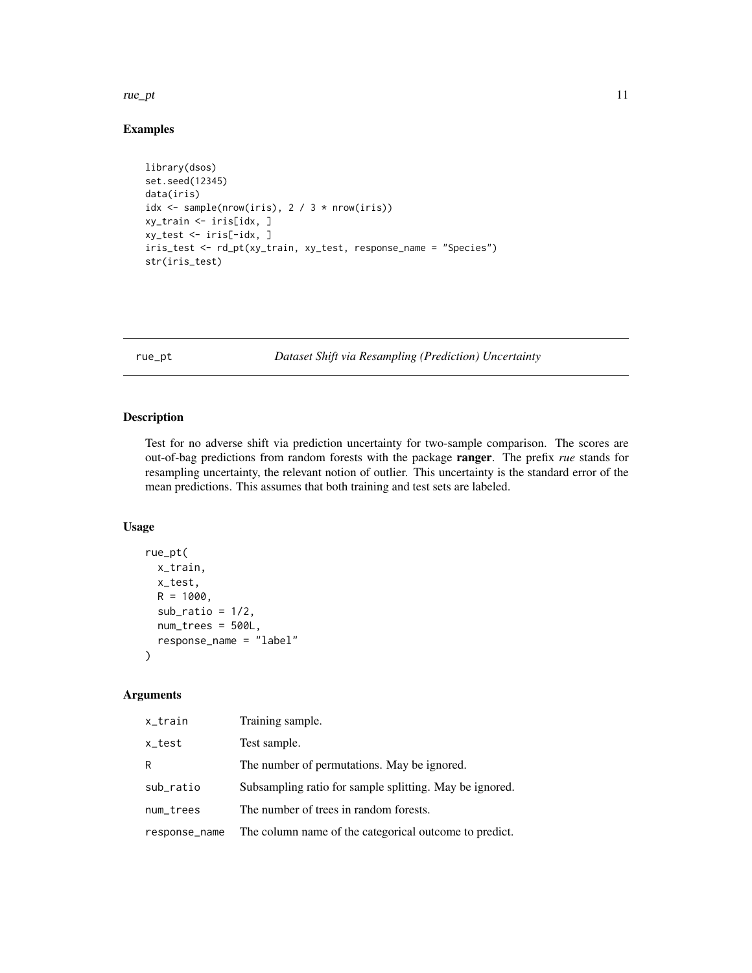#### <span id="page-10-0"></span>rue\_pt 11

#### Examples

```
library(dsos)
set.seed(12345)
data(iris)
idx <- sample(nrow(iris), 2 / 3 * nrow(iris))
xy_train <- iris[idx, ]
xy_test <- iris[-idx, ]
iris_test <- rd_pt(xy_train, xy_test, response_name = "Species")
str(iris_test)
```
rue\_pt *Dataset Shift via Resampling (Prediction) Uncertainty*

### Description

Test for no adverse shift via prediction uncertainty for two-sample comparison. The scores are out-of-bag predictions from random forests with the package ranger. The prefix *rue* stands for resampling uncertainty, the relevant notion of outlier. This uncertainty is the standard error of the mean predictions. This assumes that both training and test sets are labeled.

#### Usage

```
rue_pt(
 x_train,
 x_test,
 R = 1000,
 sub\_ratio = 1/2,
 num_trees = 500L,
  response_name = "label"
)
```
#### Arguments

| x_train       | Training sample.                                        |
|---------------|---------------------------------------------------------|
| x_test        | Test sample.                                            |
| R             | The number of permutations. May be ignored.             |
| sub_ratio     | Subsampling ratio for sample splitting. May be ignored. |
| num_trees     | The number of trees in random forests.                  |
| response_name | The column name of the categorical outcome to predict.  |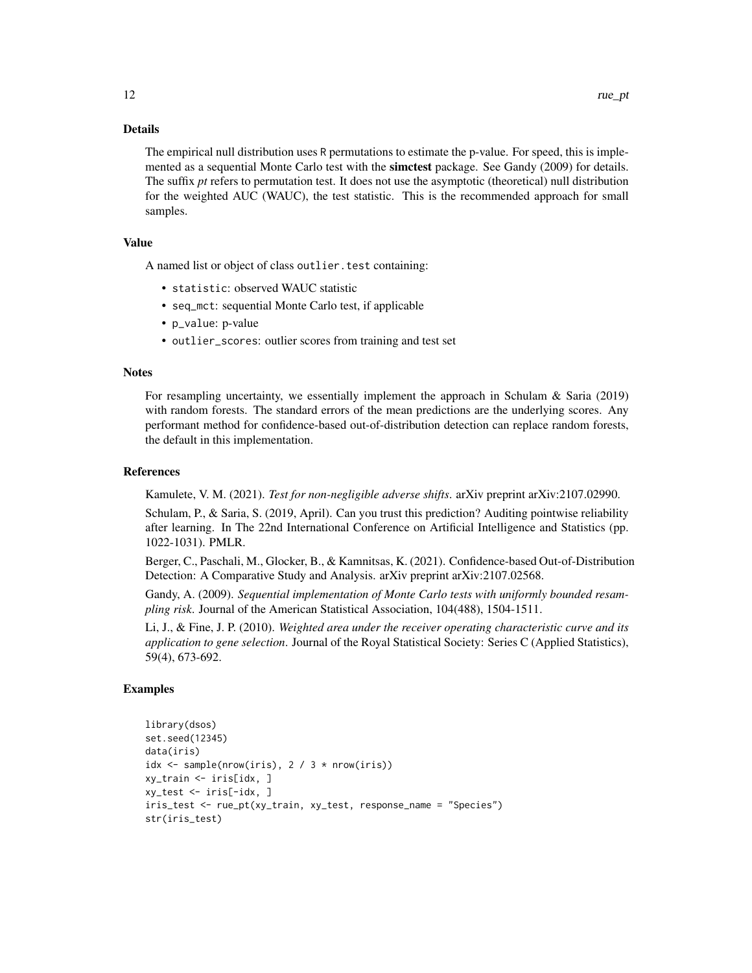#### Details

The empirical null distribution uses R permutations to estimate the p-value. For speed, this is implemented as a sequential Monte Carlo test with the **simctest** package. See Gandy (2009) for details. The suffix *pt* refers to permutation test. It does not use the asymptotic (theoretical) null distribution for the weighted AUC (WAUC), the test statistic. This is the recommended approach for small samples.

#### Value

A named list or object of class outlier.test containing:

- statistic: observed WAUC statistic
- seq\_mct: sequential Monte Carlo test, if applicable
- p\_value: p-value
- outlier\_scores: outlier scores from training and test set

#### **Notes**

For resampling uncertainty, we essentially implement the approach in Schulam & Saria (2019) with random forests. The standard errors of the mean predictions are the underlying scores. Any performant method for confidence-based out-of-distribution detection can replace random forests, the default in this implementation.

#### References

Kamulete, V. M. (2021). *Test for non-negligible adverse shifts*. arXiv preprint arXiv:2107.02990.

Schulam, P., & Saria, S. (2019, April). Can you trust this prediction? Auditing pointwise reliability after learning. In The 22nd International Conference on Artificial Intelligence and Statistics (pp. 1022-1031). PMLR.

Berger, C., Paschali, M., Glocker, B., & Kamnitsas, K. (2021). Confidence-based Out-of-Distribution Detection: A Comparative Study and Analysis. arXiv preprint arXiv:2107.02568.

Gandy, A. (2009). *Sequential implementation of Monte Carlo tests with uniformly bounded resampling risk*. Journal of the American Statistical Association, 104(488), 1504-1511.

Li, J., & Fine, J. P. (2010). *Weighted area under the receiver operating characteristic curve and its application to gene selection*. Journal of the Royal Statistical Society: Series C (Applied Statistics), 59(4), 673-692.

#### Examples

```
library(dsos)
set.seed(12345)
data(iris)
idx \leq sample(nrow(iris), 2 / 3 \star nrow(iris))
xy_train <- iris[idx, ]
xy_test <- iris[-idx, ]
iris_test <- rue_pt(xy_train, xy_test, response_name = "Species")
str(iris_test)
```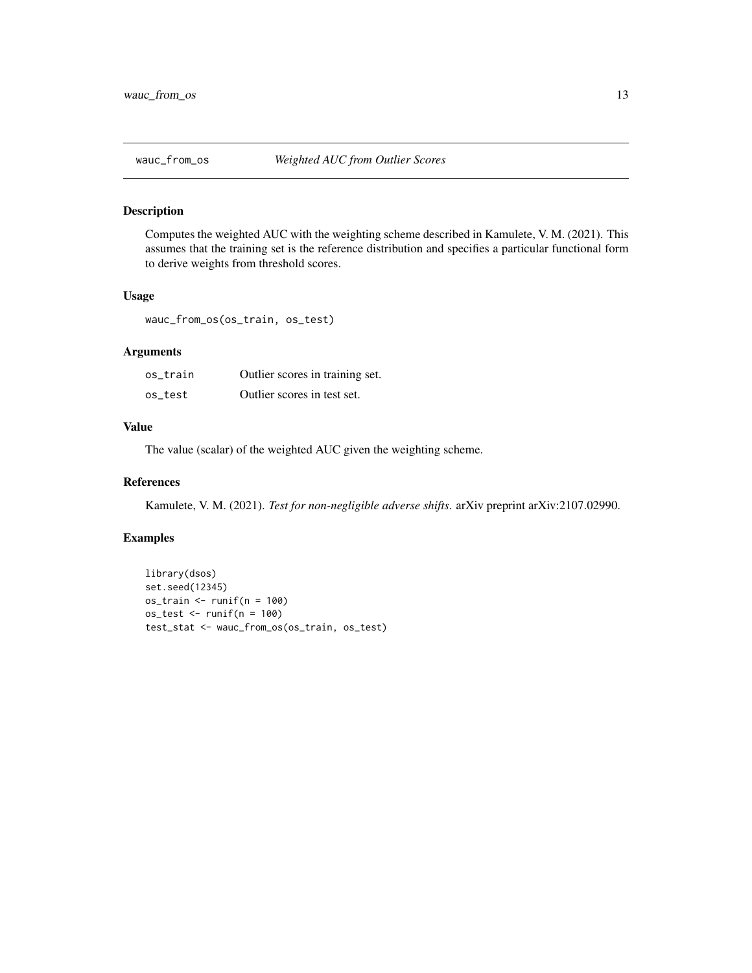<span id="page-12-0"></span>

#### Description

Computes the weighted AUC with the weighting scheme described in Kamulete, V. M. (2021). This assumes that the training set is the reference distribution and specifies a particular functional form to derive weights from threshold scores.

#### Usage

wauc\_from\_os(os\_train, os\_test)

#### Arguments

| os train | Outlier scores in training set. |
|----------|---------------------------------|
| os test  | Outlier scores in test set.     |

#### Value

The value (scalar) of the weighted AUC given the weighting scheme.

#### References

Kamulete, V. M. (2021). *Test for non-negligible adverse shifts*. arXiv preprint arXiv:2107.02990.

#### Examples

```
library(dsos)
set.seed(12345)
os_train <- runif(n = 100)
os_test <- runif(n = 100)
test_stat <- wauc_from_os(os_train, os_test)
```